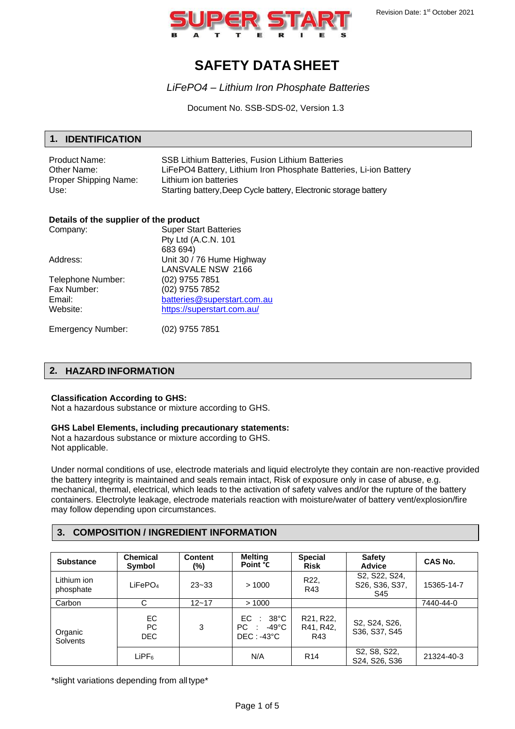

# **SAFETY DATASHEET**

*LiFePO4 – Lithium Iron Phosphate Batteries*

Document No. SSB-SDS-02, Version 1.3

### **1. IDENTIFICATION**

| Product Name:         | SSB Lithium Batteries. Fusion Lithium Batteries                   |
|-----------------------|-------------------------------------------------------------------|
| Other Name:           | LiFePO4 Battery, Lithium Iron Phosphate Batteries, Li-ion Battery |
| Proper Shipping Name: | Lithium ion batteries                                             |
| Use:                  | Starting battery, Deep Cycle battery, Electronic storage battery  |

#### **Details of the supplier of the product**

| Company:          | <b>Super Start Batteries</b> |
|-------------------|------------------------------|
|                   | Pty Ltd (A.C.N. 101          |
|                   | 683 694)                     |
| Address:          | Unit 30 / 76 Hume Highway    |
|                   | LANSVALE NSW 2166            |
| Telephone Number: | (02) 9755 7851               |
| Fax Number:       | (02) 9755 7852               |
| Email:            | batteries@superstart.com.au  |
| Website:          | https://superstart.com.au/   |
|                   |                              |

Emergency Number: (02) 9755 7851

## **2. HAZARD INFORMATION**

#### **Classification According to GHS:**

Not a hazardous substance or mixture according to GHS.

## **GHS Label Elements, including precautionary statements:**

Not a hazardous substance or mixture according to GHS. Not applicable.

Under normal conditions of use, electrode materials and liquid electrolyte they contain are non-reactive provided the battery integrity is maintained and seals remain intact, Risk of exposure only in case of abuse, e.g. mechanical, thermal, electrical, which leads to the activation of safety valves and/or the rupture of the battery containers. Electrolyte leakage, electrode materials reaction with moisture/water of battery vent/explosion/fire may follow depending upon circumstances.

### **3. COMPOSITION / INGREDIENT INFORMATION**

| <b>Substance</b>         | <b>Chemical</b><br>Symbol | <b>Content</b><br>(%) | Melting<br>Point °C                                                      | <b>Special</b><br><b>Risk</b> | <b>Safety</b><br><b>Advice</b>                                                | <b>CAS No.</b> |
|--------------------------|---------------------------|-----------------------|--------------------------------------------------------------------------|-------------------------------|-------------------------------------------------------------------------------|----------------|
| Lithium ion<br>phosphate | LiFePO <sub>4</sub>       | $23 - 33$             | >1000                                                                    | R22,<br>R43                   | S <sub>2</sub> , S <sub>22</sub> , S <sub>24</sub> ,<br>S26, S36, S37,<br>S45 | 15365-14-7     |
| Carbon                   | C                         | $12 - 17$             | >1000                                                                    |                               |                                                                               | 7440-44-0      |
| Organic<br>Solvents      | EC.<br>PC<br><b>DEC</b>   | 3                     | $38^{\circ}$ C<br>EC.<br>$\sim$ 1.<br>$PC: -49^{\circ}C$<br>$DEC: -43°C$ | R21, R22,<br>R41, R42,<br>R43 | S2, S24, S26,<br>S36, S37, S45                                                |                |
|                          | $L$ iPF $_6$              |                       | N/A                                                                      | R <sub>14</sub>               | S <sub>2</sub> , S <sub>8</sub> , S <sub>22</sub> ,<br>S24, S26, S36          | 21324-40-3     |

\*slight variations depending from alltype\*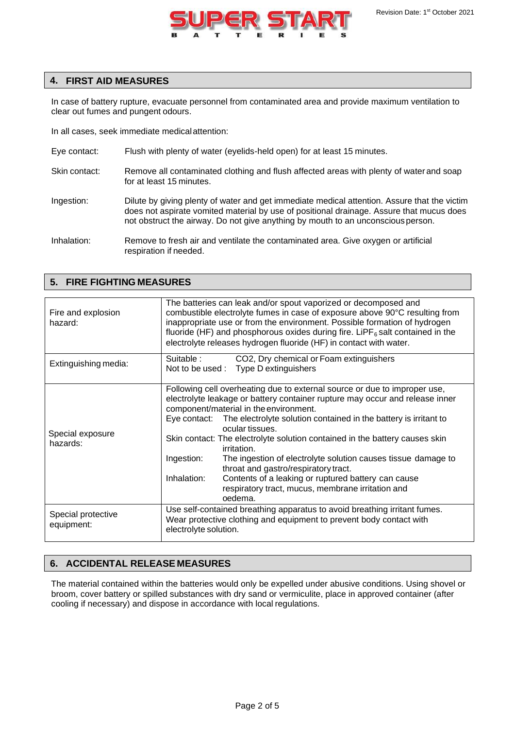

## **4. FIRST AID MEASURES**

**5. FIRE FIGHTING MEASURES**

In case of battery rupture, evacuate personnel from contaminated area and provide maximum ventilation to clear out fumes and pungent odours.

In all cases, seek immediate medicalattention:

- Eye contact: Flush with plenty of water (eyelids-held open) for at least 15 minutes.
- Skin contact: Remove all contaminated clothing and flush affected areas with plenty of water and soap for at least 15 minutes.
- Ingestion: Dilute by giving plenty of water and get immediate medical attention. Assure that the victim does not aspirate vomited material by use of positional drainage. Assure that mucus does not obstruct the airway. Do not give anything by mouth to an unconscious person.
- Inhalation: Remove to fresh air and ventilate the contaminated area. Give oxygen or artificial respiration if needed.

| Fire and explosion<br>hazard:    | The batteries can leak and/or spout vaporized or decomposed and<br>combustible electrolyte fumes in case of exposure above 90°C resulting from<br>inappropriate use or from the environment. Possible formation of hydrogen<br>fluoride (HF) and phosphorous oxides during fire. LiPF <sub>6</sub> salt contained in the<br>electrolyte releases hydrogen fluoride (HF) in contact with water.                                                                                                                                                                                                                                                                        |  |  |
|----------------------------------|-----------------------------------------------------------------------------------------------------------------------------------------------------------------------------------------------------------------------------------------------------------------------------------------------------------------------------------------------------------------------------------------------------------------------------------------------------------------------------------------------------------------------------------------------------------------------------------------------------------------------------------------------------------------------|--|--|
| Extinguishing media:             | Suitable :<br>CO2, Dry chemical or Foam extinguishers<br>Not to be used : Type D extinguishers                                                                                                                                                                                                                                                                                                                                                                                                                                                                                                                                                                        |  |  |
| Special exposure<br>hazards:     | Following cell overheating due to external source or due to improper use,<br>electrolyte leakage or battery container rupture may occur and release inner<br>component/material in the environment.<br>The electrolyte solution contained in the battery is irritant to<br>Eye contact:<br>ocular tissues.<br>Skin contact: The electrolyte solution contained in the battery causes skin<br>irritation.<br>Ingestion:<br>The ingestion of electrolyte solution causes tissue damage to<br>throat and gastro/respiratory tract.<br>Contents of a leaking or ruptured battery can cause<br>Inhalation:<br>respiratory tract, mucus, membrane irritation and<br>oedema. |  |  |
| Special protective<br>equipment: | Use self-contained breathing apparatus to avoid breathing irritant fumes.<br>Wear protective clothing and equipment to prevent body contact with<br>electrolyte solution.                                                                                                                                                                                                                                                                                                                                                                                                                                                                                             |  |  |

### **6. ACCIDENTAL RELEASE MEASURES**

The material contained within the batteries would only be expelled under abusive conditions. Using shovel or broom, cover battery or spilled substances with dry sand or vermiculite, place in approved container (after cooling if necessary) and dispose in accordance with local regulations.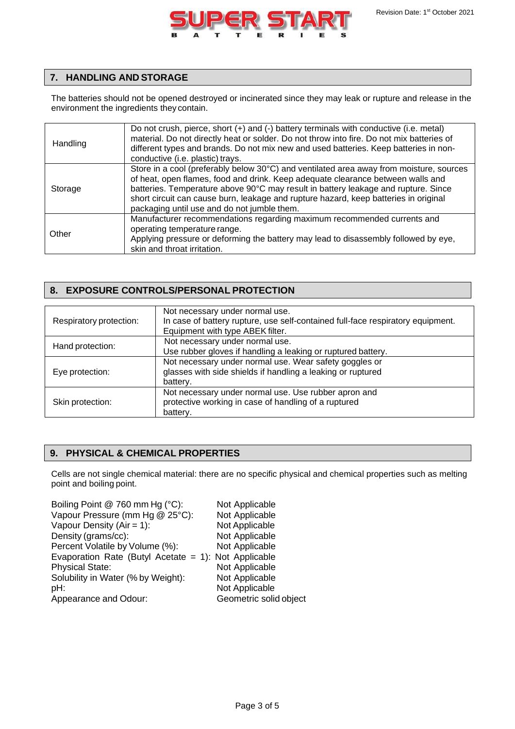

# **7. HANDLING AND STORAGE**

The batteries should not be opened destroyed or incinerated since they may leak or rupture and release in the environment the ingredients they contain.

| Handling | Do not crush, pierce, short $(+)$ and $(-)$ battery terminals with conductive (i.e. metal)<br>material. Do not directly heat or solder. Do not throw into fire. Do not mix batteries of<br>different types and brands. Do not mix new and used batteries. Keep batteries in non-<br>conductive (i.e. plastic) trays.                                                                                    |
|----------|---------------------------------------------------------------------------------------------------------------------------------------------------------------------------------------------------------------------------------------------------------------------------------------------------------------------------------------------------------------------------------------------------------|
| Storage  | Store in a cool (preferably below 30°C) and ventilated area away from moisture, sources<br>of heat, open flames, food and drink. Keep adequate clearance between walls and<br>batteries. Temperature above 90°C may result in battery leakage and rupture. Since<br>short circuit can cause burn, leakage and rupture hazard, keep batteries in original<br>packaging until use and do not jumble them. |
| Other    | Manufacturer recommendations regarding maximum recommended currents and<br>operating temperature range.<br>Applying pressure or deforming the battery may lead to disassembly followed by eye,<br>skin and throat irritation.                                                                                                                                                                           |

# **8. EXPOSURE CONTROLS/PERSONAL PROTECTION**

| Respiratory protection: | Not necessary under normal use.<br>In case of battery rupture, use self-contained full-face respiratory equipment.<br>Equipment with type ABEK filter. |
|-------------------------|--------------------------------------------------------------------------------------------------------------------------------------------------------|
| Hand protection:        | Not necessary under normal use.<br>Use rubber gloves if handling a leaking or ruptured battery.                                                        |
| Eye protection:         | Not necessary under normal use. Wear safety goggles or<br>glasses with side shields if handling a leaking or ruptured<br>battery.                      |
| Skin protection:        | Not necessary under normal use. Use rubber apron and<br>protective working in case of handling of a ruptured<br>battery.                               |

# **9. PHYSICAL & CHEMICAL PROPERTIES**

Cells are not single chemical material: there are no specific physical and chemical properties such as melting point and boiling point.

| Boiling Point @ 760 mm Hg (°C):                      | Not Applicable         |
|------------------------------------------------------|------------------------|
| Vapour Pressure (mm Hg @ 25°C):                      | Not Applicable         |
| Vapour Density $(Air = 1)$ :                         | Not Applicable         |
| Density (grams/cc):                                  | Not Applicable         |
| Percent Volatile by Volume (%):                      | Not Applicable         |
| Evaporation Rate (Butyl Acetate = 1): Not Applicable |                        |
| <b>Physical State:</b>                               | Not Applicable         |
| Solubility in Water (% by Weight):                   | Not Applicable         |
| pH:                                                  | Not Applicable         |
| Appearance and Odour:                                | Geometric solid object |
|                                                      |                        |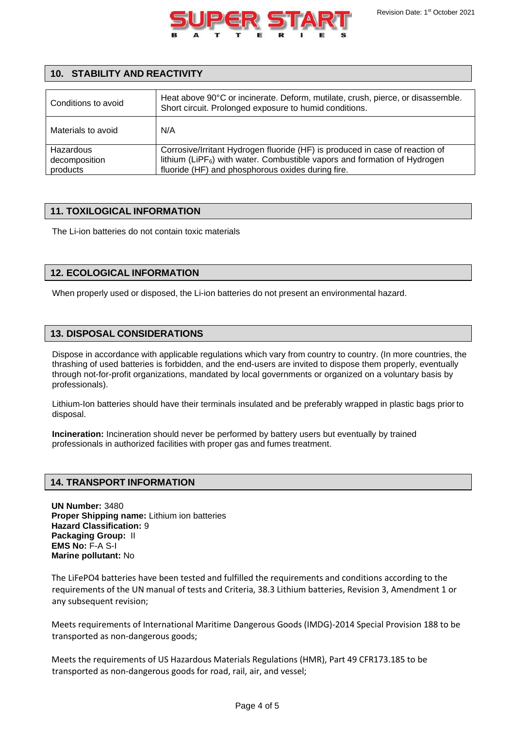

## **10. STABILITY AND REACTIVITY**

| Conditions to avoid                    | Heat above 90°C or incinerate. Deform, mutilate, crush, pierce, or disassemble.<br>Short circuit. Prolonged exposure to humid conditions.                                                                                  |
|----------------------------------------|----------------------------------------------------------------------------------------------------------------------------------------------------------------------------------------------------------------------------|
| Materials to avoid                     | N/A                                                                                                                                                                                                                        |
| Hazardous<br>decomposition<br>products | Corrosive/Irritant Hydrogen fluoride (HF) is produced in case of reaction of<br>lithium (LiPF <sub>6</sub> ) with water. Combustible vapors and formation of Hydrogen<br>fluoride (HF) and phosphorous oxides during fire. |

## **11. TOXILOGICAL INFORMATION**

The Li-ion batteries do not contain toxic materials

## **12. ECOLOGICAL INFORMATION**

When properly used or disposed, the Li-ion batteries do not present an environmental hazard.

## **13. DISPOSAL CONSIDERATIONS**

Dispose in accordance with applicable regulations which vary from country to country. (In more countries, the thrashing of used batteries is forbidden, and the end-users are invited to dispose them properly, eventually through not-for-profit organizations, mandated by local governments or organized on a voluntary basis by professionals).

Lithium-Ion batteries should have their terminals insulated and be preferably wrapped in plastic bags prior to disposal.

**Incineration:** Incineration should never be performed by battery users but eventually by trained professionals in authorized facilities with proper gas and fumes treatment.

### **14. TRANSPORT INFORMATION**

**UN Number:** 3480 **Proper Shipping name:** Lithium ion batteries **Hazard Classification:** 9 **Packaging Group:** II **EMS No:** F-A S-I **Marine pollutant:** No

The LiFePO4 batteries have been tested and fulfilled the requirements and conditions according to the requirements of the UN manual of tests and Criteria, 38.3 Lithium batteries, Revision 3, Amendment 1 or any subsequent revision;

Meets requirements of International Maritime Dangerous Goods (IMDG)-2014 Special Provision 188 to be transported as non-dangerous goods;

Meets the requirements of US Hazardous Materials Regulations (HMR), Part 49 CFR173.185 to be transported as non-dangerous goods for road, rail, air, and vessel;